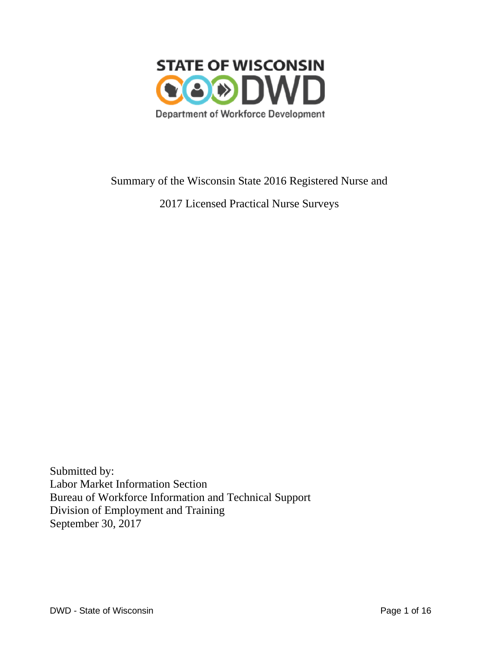

# Summary of the Wisconsin State 2016 Registered Nurse and

2017 Licensed Practical Nurse Surveys

Submitted by: Labor Market Information Section Bureau of Workforce Information and Technical Support Division of Employment and Training September 30, 2017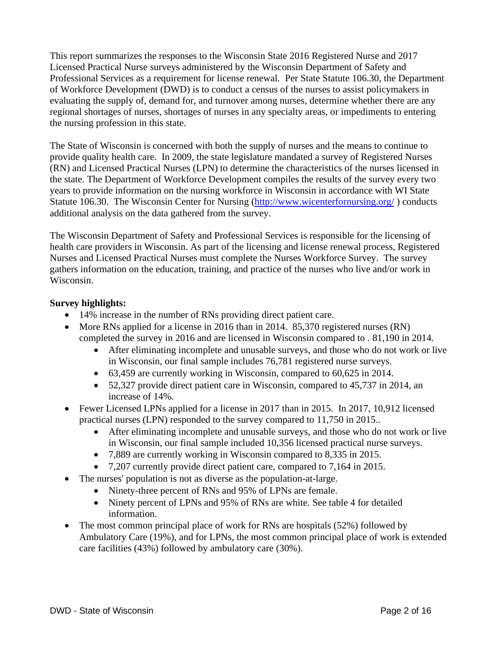This report summarizes the responses to the Wisconsin State 2016 Registered Nurse and 2017 Licensed Practical Nurse surveys administered by the Wisconsin Department of Safety and Professional Services as a requirement for license renewal. Per State Statute 106.30, the Department of Workforce Development (DWD) is to conduct a census of the nurses to assist policymakers in evaluating the supply of, demand for, and turnover among nurses, determine whether there are any regional shortages of nurses, shortages of nurses in any specialty areas, or impediments to entering the nursing profession in this state.

The State of Wisconsin is concerned with both the supply of nurses and the means to continue to provide quality health care. In 2009, the state legislature mandated a survey of Registered Nurses (RN) and Licensed Practical Nurses (LPN) to determine the characteristics of the nurses licensed in the state. The Department of Workforce Development compiles the results of the survey every two years to provide information on the nursing workforce in Wisconsin in accordance with WI State Statute 106.30. The Wisconsin Center for Nursing [\(http://www.wicenterfornursing.org/](http://www.wicenterfornursing.org/) ) conducts additional analysis on the data gathered from the survey.

The Wisconsin Department of Safety and Professional Services is responsible for the licensing of health care providers in Wisconsin. As part of the licensing and license renewal process, Registered Nurses and Licensed Practical Nurses must complete the Nurses Workforce Survey. The survey gathers information on the education, training, and practice of the nurses who live and/or work in Wisconsin.

### **Survey highlights:**

- 14% increase in the number of RNs providing direct patient care.
- More RNs applied for a license in 2016 than in 2014. 85,370 registered nurses (RN) completed the survey in 2016 and are licensed in Wisconsin compared to . 81,190 in 2014.
	- After eliminating incomplete and unusable surveys, and those who do not work or live in Wisconsin, our final sample includes 76,781 registered nurse surveys.
	- 63,459 are currently working in Wisconsin, compared to 60,625 in 2014.
	- 52,327 provide direct patient care in Wisconsin, compared to 45,737 in 2014, an increase of 14%.
- Fewer Licensed LPNs applied for a license in 2017 than in 2015. In 2017, 10,912 licensed practical nurses (LPN) responded to the survey compared to 11,750 in 2015..
	- After eliminating incomplete and unusable surveys, and those who do not work or live in Wisconsin, our final sample included 10,356 licensed practical nurse surveys.
	- 7,889 are currently working in Wisconsin compared to 8,335 in 2015.
	- 7,207 currently provide direct patient care, compared to 7,164 in 2015.
- The nurses' population is not as diverse as the population-at-large.
	- Ninety-three percent of RNs and 95% of LPNs are female.
	- Ninety percent of LPNs and 95% of RNs are white. See table 4 for detailed information.
- The most common principal place of work for RNs are hospitals (52%) followed by Ambulatory Care (19%), and for LPNs, the most common principal place of work is extended care facilities (43%) followed by ambulatory care (30%).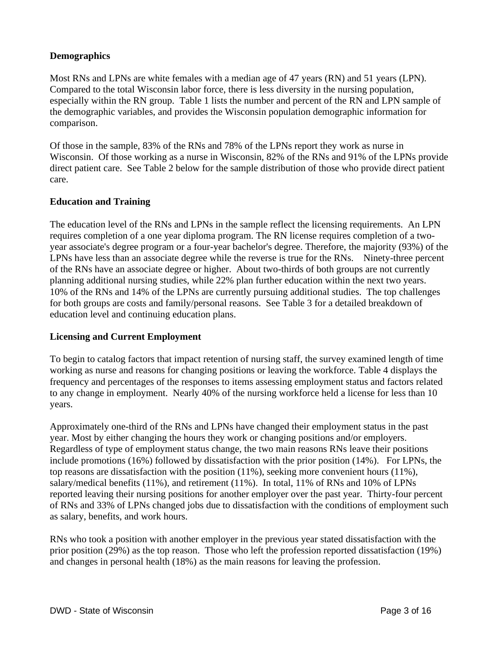### **Demographics**

Most RNs and LPNs are white females with a median age of 47 years (RN) and 51 years (LPN). Compared to the total Wisconsin labor force, there is less diversity in the nursing population, especially within the RN group. Table 1 lists the number and percent of the RN and LPN sample of the demographic variables, and provides the Wisconsin population demographic information for comparison.

Of those in the sample, 83% of the RNs and 78% of the LPNs report they work as nurse in Wisconsin. Of those working as a nurse in Wisconsin, 82% of the RNs and 91% of the LPNs provide direct patient care. See Table 2 below for the sample distribution of those who provide direct patient care.

### **Education and Training**

The education level of the RNs and LPNs in the sample reflect the licensing requirements. An LPN requires completion of a one year diploma program. The RN license requires completion of a twoyear associate's degree program or a four-year bachelor's degree. Therefore, the majority (93%) of the LPNs have less than an associate degree while the reverse is true for the RNs. Ninety-three percent of the RNs have an associate degree or higher. About two-thirds of both groups are not currently planning additional nursing studies, while 22% plan further education within the next two years. 10% of the RNs and 14% of the LPNs are currently pursuing additional studies. The top challenges for both groups are costs and family/personal reasons. See Table 3 for a detailed breakdown of education level and continuing education plans.

#### **Licensing and Current Employment**

To begin to catalog factors that impact retention of nursing staff, the survey examined length of time working as nurse and reasons for changing positions or leaving the workforce. Table 4 displays the frequency and percentages of the responses to items assessing employment status and factors related to any change in employment. Nearly 40% of the nursing workforce held a license for less than 10 years.

Approximately one-third of the RNs and LPNs have changed their employment status in the past year. Most by either changing the hours they work or changing positions and/or employers. Regardless of type of employment status change, the two main reasons RNs leave their positions include promotions (16%) followed by dissatisfaction with the prior position (14%). For LPNs, the top reasons are dissatisfaction with the position (11%), seeking more convenient hours (11%), salary/medical benefits (11%), and retirement (11%). In total, 11% of RNs and 10% of LPNs reported leaving their nursing positions for another employer over the past year. Thirty-four percent of RNs and 33% of LPNs changed jobs due to dissatisfaction with the conditions of employment such as salary, benefits, and work hours.

RNs who took a position with another employer in the previous year stated dissatisfaction with the prior position (29%) as the top reason. Those who left the profession reported dissatisfaction (19%) and changes in personal health (18%) as the main reasons for leaving the profession.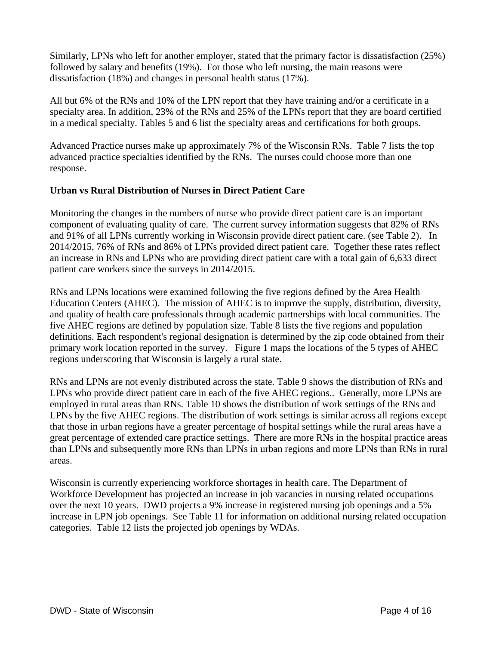Similarly, LPNs who left for another employer, stated that the primary factor is dissatisfaction (25%) followed by salary and benefits (19%). For those who left nursing, the main reasons were dissatisfaction (18%) and changes in personal health status (17%).

All but 6% of the RNs and 10% of the LPN report that they have training and/or a certificate in a specialty area. In addition, 23% of the RNs and 25% of the LPNs report that they are board certified in a medical specialty. Tables 5 and 6 list the specialty areas and certifications for both groups.

Advanced Practice nurses make up approximately 7% of the Wisconsin RNs. Table 7 lists the top advanced practice specialties identified by the RNs. The nurses could choose more than one response.

### **Urban vs Rural Distribution of Nurses in Direct Patient Care**

Monitoring the changes in the numbers of nurse who provide direct patient care is an important component of evaluating quality of care. The current survey information suggests that 82% of RNs and 91% of all LPNs currently working in Wisconsin provide direct patient care. (see Table 2). In 2014/2015, 76% of RNs and 86% of LPNs provided direct patient care. Together these rates reflect an increase in RNs and LPNs who are providing direct patient care with a total gain of 6,633 direct patient care workers since the surveys in 2014/2015.

RNs and LPNs locations were examined following the five regions defined by the Area Health Education Centers (AHEC). The mission of AHEC is to improve the supply, distribution, diversity, and quality of health care professionals through academic partnerships with local communities. The five AHEC regions are defined by population size. Table 8 lists the five regions and population definitions. Each respondent's regional designation is determined by the zip code obtained from their primary work location reported in the survey. Figure 1 maps the locations of the 5 types of AHEC regions underscoring that Wisconsin is largely a rural state.

RNs and LPNs are not evenly distributed across the state. Table 9 shows the distribution of RNs and LPNs who provide direct patient care in each of the five AHEC regions.. Generally, more LPNs are employed in rural areas than RNs. Table 10 shows the distribution of work settings of the RNs and LPNs by the five AHEC regions. The distribution of work settings is similar across all regions except that those in urban regions have a greater percentage of hospital settings while the rural areas have a great percentage of extended care practice settings. There are more RNs in the hospital practice areas than LPNs and subsequently more RNs than LPNs in urban regions and more LPNs than RNs in rural areas.

Wisconsin is currently experiencing workforce shortages in health care. The Department of Workforce Development has projected an increase in job vacancies in nursing related occupations over the next 10 years. DWD projects a 9% increase in registered nursing job openings and a 5% increase in LPN job openings. See Table 11 for information on additional nursing related occupation categories. Table 12 lists the projected job openings by WDAs.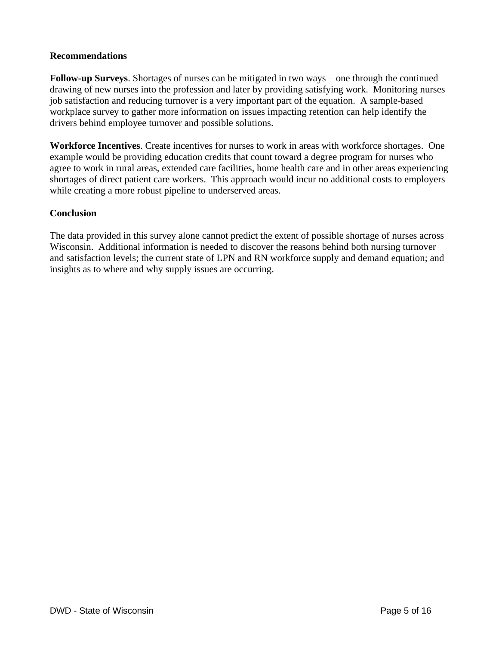#### **Recommendations**

**Follow-up Surveys**. Shortages of nurses can be mitigated in two ways – one through the continued drawing of new nurses into the profession and later by providing satisfying work. Monitoring nurses job satisfaction and reducing turnover is a very important part of the equation. A sample-based workplace survey to gather more information on issues impacting retention can help identify the drivers behind employee turnover and possible solutions.

**Workforce Incentives**. Create incentives for nurses to work in areas with workforce shortages. One example would be providing education credits that count toward a degree program for nurses who agree to work in rural areas, extended care facilities, home health care and in other areas experiencing shortages of direct patient care workers. This approach would incur no additional costs to employers while creating a more robust pipeline to underserved areas.

### **Conclusion**

The data provided in this survey alone cannot predict the extent of possible shortage of nurses across Wisconsin. Additional information is needed to discover the reasons behind both nursing turnover and satisfaction levels; the current state of LPN and RN workforce supply and demand equation; and insights as to where and why supply issues are occurring.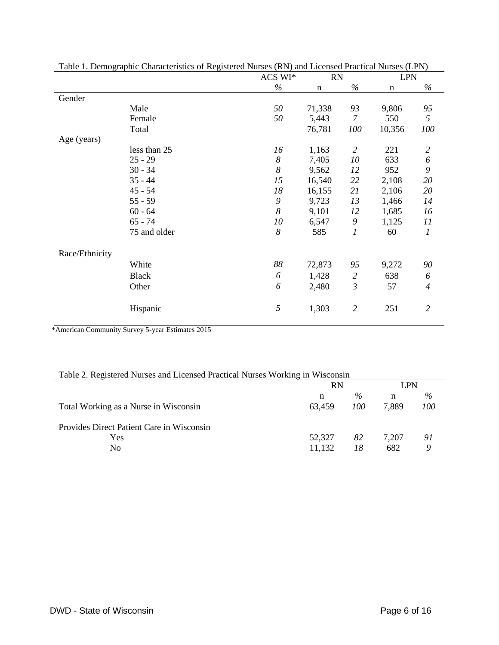|                |              | ACS WI* | <b>RN</b>   |                | <b>LPN</b>  |                |
|----------------|--------------|---------|-------------|----------------|-------------|----------------|
|                |              | $\%$    | $\mathbf n$ | $\%$           | $\mathbf n$ | $\%$           |
| Gender         |              |         |             |                |             |                |
|                | Male         | 50      | 71,338      | 93             | 9,806       | 95             |
|                | Female       | 50      | 5,443       | $\overline{7}$ | 550         | 5              |
|                | Total        |         | 76,781      | 100            | 10,356      | 100            |
| Age (years)    |              |         |             |                |             |                |
|                | less than 25 | 16      | 1,163       | $\overline{2}$ | 221         | $\overline{c}$ |
|                | $25 - 29$    | 8       | 7,405       | 10             | 633         | 6              |
|                | $30 - 34$    | 8       | 9,562       | 12             | 952         | 9              |
|                | $35 - 44$    | 15      | 16,540      | 22             | 2,108       | 20             |
|                | $45 - 54$    | 18      | 16,155      | 21             | 2,106       | 20             |
|                | $55 - 59$    | 9       | 9,723       | 13             | 1,466       | 14             |
|                | $60 - 64$    | 8       | 9,101       | 12             | 1,685       | 16             |
|                | $65 - 74$    | 10      | 6,547       | 9              | 1,125       | 11             |
|                | 75 and older | 8       | 585         | 1              | 60          | 1              |
| Race/Ethnicity |              |         |             |                |             |                |
|                | White        | 88      | 72,873      | 95             | 9,272       | 90             |
|                | <b>Black</b> | 6       | 1,428       | $\overline{2}$ | 638         | 6              |
|                | Other        | 6       | 2,480       | $\mathfrak{Z}$ | 57          | $\overline{4}$ |
|                | Hispanic     | 5       | 1,303       | $\mathfrak{2}$ | 251         | $\overline{2}$ |

\*American Community Survey 5-year Estimates 2015

|  | Table 2. Registered Nurses and Licensed Practical Nurses Working in Wisconsin |
|--|-------------------------------------------------------------------------------|
|  |                                                                               |

|                                           | <b>RN</b> |     | LPN   |     |
|-------------------------------------------|-----------|-----|-------|-----|
|                                           | n         | %   | n     | %   |
| Total Working as a Nurse in Wisconsin     | 63.459    | 100 | 7,889 | 100 |
| Provides Direct Patient Care in Wisconsin |           |     |       |     |
| Yes                                       | 52,327    | 82  | 7.207 | 91  |
| No                                        | 11,132    | 18  | 682   |     |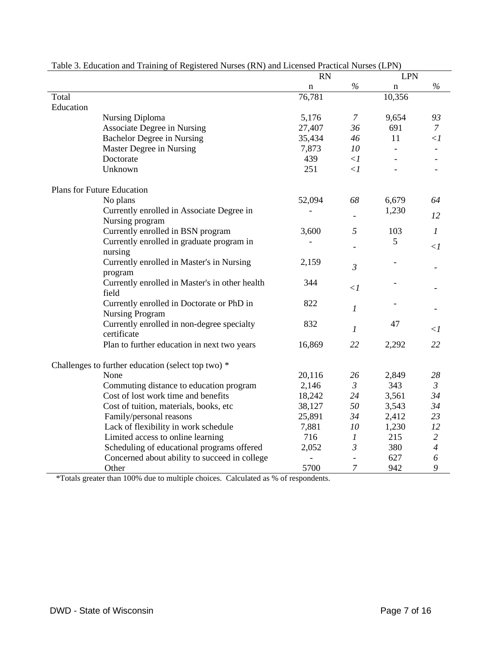|           | Table 5. Equication and Training of Registered Nurses (RIV) and Licensed Practical Nurses (LPN) | <b>RN</b>      |                          | <b>LPN</b> |                       |
|-----------|-------------------------------------------------------------------------------------------------|----------------|--------------------------|------------|-----------------------|
|           |                                                                                                 | n              | $\%$                     | n          | $\%$                  |
| Total     |                                                                                                 | 76,781         |                          | 10,356     |                       |
| Education |                                                                                                 |                |                          |            |                       |
|           | Nursing Diploma                                                                                 | 5,176          | 7                        | 9,654      | 93                    |
|           | Associate Degree in Nursing                                                                     | 27,407         | 36                       | 691        | $\mathcal{I}$         |
|           | <b>Bachelor Degree in Nursing</b>                                                               | 35,434         | 46                       | 11         | $\langle$ 1           |
|           | Master Degree in Nursing                                                                        | 7,873          | 10                       |            |                       |
|           | Doctorate                                                                                       | 439            | $\langle$ 1              |            |                       |
|           | Unknown                                                                                         | 251            | $\langle$ 1              |            |                       |
|           | Plans for Future Education                                                                      |                |                          |            |                       |
|           | No plans                                                                                        | 52,094         | 68                       | 6,679      | 64                    |
|           | Currently enrolled in Associate Degree in                                                       |                |                          | 1,230      |                       |
|           | Nursing program                                                                                 |                |                          |            | 12                    |
|           | Currently enrolled in BSN program                                                               | 3,600          | 5                        | 103        | $\mathfrak{1}$        |
|           | Currently enrolled in graduate program in                                                       |                |                          | 5          |                       |
|           | nursing                                                                                         |                |                          |            | $\lt$ 1               |
|           | Currently enrolled in Master's in Nursing                                                       | 2,159          | $\mathfrak{Z}$           |            |                       |
|           | program                                                                                         |                |                          |            |                       |
|           | Currently enrolled in Master's in other health                                                  | 344            |                          |            |                       |
|           | field                                                                                           |                | $\langle$ 1              |            |                       |
|           | Currently enrolled in Doctorate or PhD in                                                       | 822            | $\mathfrak{1}$           |            |                       |
|           | <b>Nursing Program</b>                                                                          |                |                          |            |                       |
|           | Currently enrolled in non-degree specialty                                                      | 832            |                          | 47         |                       |
|           | certificate                                                                                     |                | $\boldsymbol{l}$         |            | $\langle$ 1           |
|           | Plan to further education in next two years                                                     | 16,869         | 22                       | 2,292      | 22                    |
|           | Challenges to further education (select top two) *                                              |                |                          |            |                       |
|           | None                                                                                            | 20,116         | 26                       | 2,849      | 28                    |
|           | Commuting distance to education program                                                         | 2,146          | $\mathfrak{Z}$           | 343        | $\mathfrak{Z}$        |
|           | Cost of lost work time and benefits                                                             | 18,242         | 24                       | 3,561      | 34                    |
|           | Cost of tuition, materials, books, etc                                                          | 38,127         | 50                       | 3,543      | 34                    |
|           | Family/personal reasons                                                                         | 25,891         | 34                       | 2,412      | 23                    |
|           | Lack of flexibility in work schedule                                                            | 7,881          | 10                       | 1,230      | 12                    |
|           | Limited access to online learning                                                               | 716            | $\boldsymbol{l}$         | 215        | $\overline{c}$        |
|           | Scheduling of educational programs offered                                                      | 2,052          | $\mathfrak{Z}$           | 380        | $\overline{4}$        |
|           | Concerned about ability to succeed in college                                                   | $\overline{a}$ | $\overline{\phantom{a}}$ | 627        | $\boldsymbol{\delta}$ |
|           | Other                                                                                           | 5700           | 7                        | 942        | 9                     |

| Table 3. Education and Training of Registered Nurses (RN) and Licensed Practical Nurses (LPN) |  |  |  |
|-----------------------------------------------------------------------------------------------|--|--|--|
|                                                                                               |  |  |  |

\*Totals greater than 100% due to multiple choices. Calculated as % of respondents.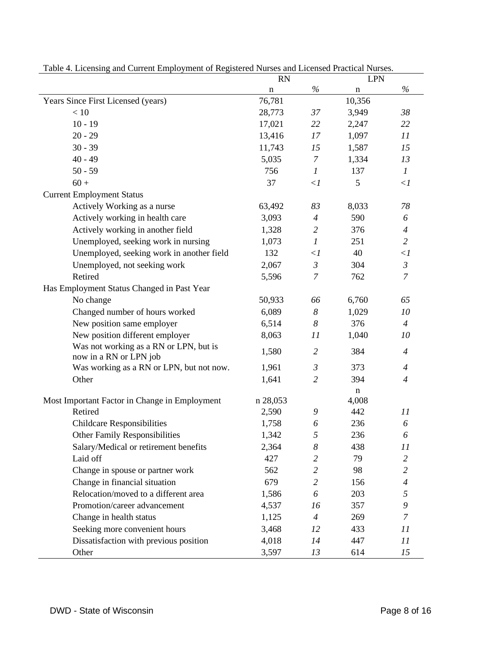| unu vurtem min<br>$\mu$ , where $\sigma$ is the                  | RN          |                  | <b>LPN</b>  |                |
|------------------------------------------------------------------|-------------|------------------|-------------|----------------|
|                                                                  | $\mathbf n$ | $\%$             | $\mathbf n$ | $\%$           |
| Years Since First Licensed (years)                               | 76,781      |                  | 10,356      |                |
| $<10\,$                                                          | 28,773      | 37               | 3,949       | 38             |
| $10 - 19$                                                        | 17,021      | 22               | 2,247       | 22             |
| $20 - 29$                                                        | 13,416      | 17               | 1,097       | 11             |
| $30 - 39$                                                        | 11,743      | 15               | 1,587       | 15             |
| $40 - 49$                                                        | 5,035       | $\overline{7}$   | 1,334       | 13             |
| $50 - 59$                                                        | 756         | $\boldsymbol{l}$ | 137         | $\mathcal{I}$  |
| $60 +$                                                           | 37          | $\langle$        | 5           | $\langle$ 1    |
| <b>Current Employment Status</b>                                 |             |                  |             |                |
| Actively Working as a nurse                                      | 63,492      | 83               | 8,033       | 78             |
| Actively working in health care                                  | 3,093       | $\overline{4}$   | 590         | 6              |
| Actively working in another field                                | 1,328       | $\mathfrak{2}$   | 376         | $\overline{4}$ |
| Unemployed, seeking work in nursing                              | 1,073       | $\boldsymbol{l}$ | 251         | $\overline{2}$ |
| Unemployed, seeking work in another field                        | 132         | $\langle$ 1      | 40          | $\leq l$       |
| Unemployed, not seeking work                                     | 2,067       | $\mathfrak{Z}$   | 304         | $\mathfrak{Z}$ |
| Retired                                                          | 5,596       | $\overline{7}$   | 762         | $\overline{7}$ |
| Has Employment Status Changed in Past Year                       |             |                  |             |                |
| No change                                                        | 50,933      | 66               | 6,760       | 65             |
| Changed number of hours worked                                   | 6,089       | $\boldsymbol{8}$ | 1,029       | 10             |
| New position same employer                                       | 6,514       | $\boldsymbol{8}$ | 376         | $\overline{4}$ |
| New position different employer                                  | 8,063       | 11               | 1,040       | 10             |
| Was not working as a RN or LPN, but is<br>now in a RN or LPN job | 1,580       | $\overline{2}$   | 384         | $\overline{4}$ |
| Was working as a RN or LPN, but not now.                         | 1,961       | $\mathfrak{Z}$   | 373         | $\overline{4}$ |
| Other                                                            | 1,641       | $\overline{2}$   | 394         | $\overline{4}$ |
|                                                                  |             |                  | n           |                |
| Most Important Factor in Change in Employment                    | n 28,053    |                  | 4,008       |                |
| Retired                                                          | 2,590       | 9                | 442         | 11             |
| <b>Childcare Responsibilities</b>                                | 1,758       | 6                | 236         | 6              |
| <b>Other Family Responsibilities</b>                             | 1,342       | 5                | 236         | 6              |
| Salary/Medical or retirement benefits                            | 2,364       | 8                | 438         | 11             |
| Laid off                                                         | 427         | $\overline{2}$   | 79          | $\overline{2}$ |
| Change in spouse or partner work                                 | 562         | $\overline{2}$   | 98          | $\overline{c}$ |
| Change in financial situation                                    | 679         | $\overline{2}$   | 156         | $\overline{4}$ |
| Relocation/moved to a different area                             | 1,586       | 6                | 203         | 5              |
| Promotion/career advancement                                     | 4,537       | 16               | 357         | 9              |
| Change in health status                                          | 1,125       | $\overline{4}$   | 269         | 7              |
| Seeking more convenient hours                                    | 3,468       | 12               | 433         | 11             |
| Dissatisfaction with previous position                           | 4,018       | 14               | 447         | 11             |
| Other                                                            | 3,597       | 13               | 614         | 15             |

Table 4. Licensing and Current Employment of Registered Nurses and Licensed Practical Nurses.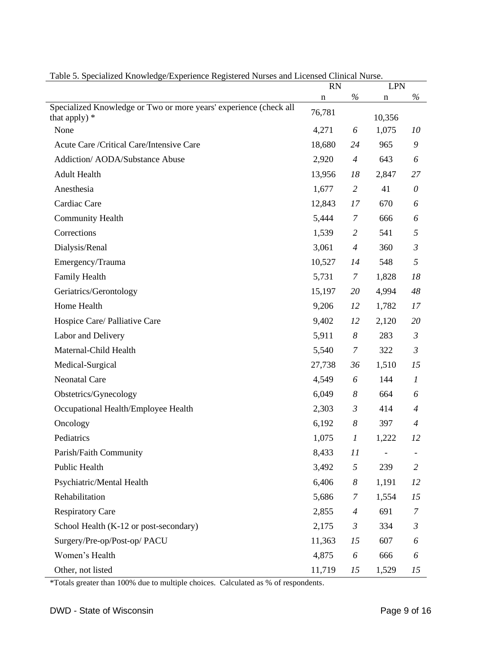|                                                                                      | <b>RN</b>   |                | <b>LPN</b>               |                  |
|--------------------------------------------------------------------------------------|-------------|----------------|--------------------------|------------------|
|                                                                                      | $\mathbf n$ | $\%$           | n                        | $\%$             |
| Specialized Knowledge or Two or more years' experience (check all<br>that apply) $*$ | 76,781      |                | 10,356                   |                  |
| None                                                                                 | 4,271       | 6              | 1,075                    | 10               |
| Acute Care / Critical Care/Intensive Care                                            | 18,680      | 24             | 965                      | 9                |
| Addiction/ AODA/Substance Abuse                                                      | 2,920       | $\overline{A}$ | 643                      | 6                |
| <b>Adult Health</b>                                                                  | 13,956      | 18             | 2,847                    | 27               |
| Anesthesia                                                                           | 1,677       | $\overline{2}$ | 41                       | $\theta$         |
| Cardiac Care                                                                         | 12,843      | 17             | 670                      | 6                |
| <b>Community Health</b>                                                              | 5,444       | 7              | 666                      | 6                |
| Corrections                                                                          | 1,539       | $\overline{2}$ | 541                      | 5                |
| Dialysis/Renal                                                                       | 3,061       | $\overline{A}$ | 360                      | $\mathfrak{Z}$   |
| Emergency/Trauma                                                                     | 10,527      | 14             | 548                      | 5                |
| Family Health                                                                        | 5,731       | 7              | 1,828                    | 18               |
| Geriatrics/Gerontology                                                               | 15,197      | 20             | 4,994                    | 48               |
| Home Health                                                                          | 9,206       | 12             | 1,782                    | 17               |
| Hospice Care/ Palliative Care                                                        | 9,402       | 12             | 2,120                    | 20               |
| Labor and Delivery                                                                   | 5,911       | 8              | 283                      | $\mathfrak{Z}$   |
| Maternal-Child Health                                                                | 5,540       | 7              | 322                      | $\mathfrak{Z}$   |
| Medical-Surgical                                                                     | 27,738      | 36             | 1,510                    | 15               |
| <b>Neonatal Care</b>                                                                 | 4,549       | 6              | 144                      | $\boldsymbol{l}$ |
| Obstetrics/Gynecology                                                                | 6,049       | 8              | 664                      | 6                |
| Occupational Health/Employee Health                                                  | 2,303       | $\mathfrak{Z}$ | 414                      | $\overline{4}$   |
| Oncology                                                                             | 6,192       | 8              | 397                      | $\overline{4}$   |
| Pediatrics                                                                           | 1,075       | 1              | 1,222                    | 12               |
| Parish/Faith Community                                                               | 8,433       | 11             | $\overline{\phantom{0}}$ |                  |
| Public Health                                                                        | 3,492       | 5              | 239                      | $\overline{2}$   |
| Psychiatric/Mental Health                                                            | 6,406       | 8              | 1,191                    | 12               |
| Rehabilitation                                                                       | 5,686       | 7              | 1,554                    | 15               |
| <b>Respiratory Care</b>                                                              | 2,855       | $\overline{4}$ | 691                      | 7                |
| School Health (K-12 or post-secondary)                                               | 2,175       | $\mathfrak{Z}$ | 334                      | $\mathfrak{Z}$   |
| Surgery/Pre-op/Post-op/ PACU                                                         | 11,363      | 15             | 607                      | 6                |
| Women's Health                                                                       | 4,875       | 6              | 666                      | 6                |
| Other, not listed                                                                    | 11,719      | 15             | 1,529                    | 15               |

Table 5. Specialized Knowledge/Experience Registered Nurses and Licensed Clinical Nurse.

\*Totals greater than 100% due to multiple choices. Calculated as % of respondents.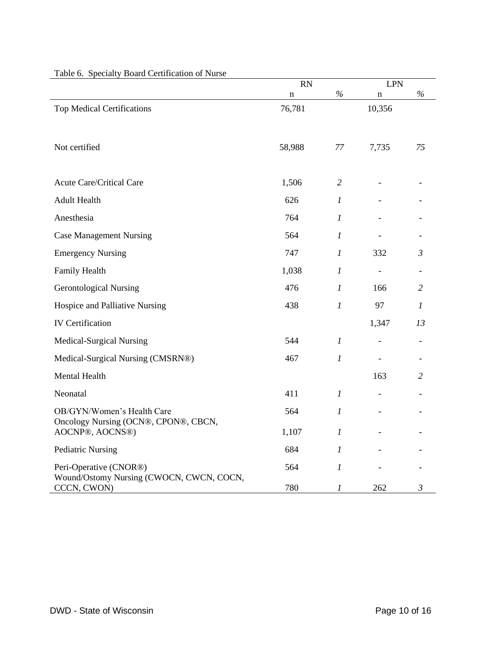| radic o. Specially Doard Centrication of Nurse                     | <b>RN</b>   |                  | <b>LPN</b> |                |
|--------------------------------------------------------------------|-------------|------------------|------------|----------------|
|                                                                    | $\mathbf n$ | $\%$             | $\bf n$    | $\%$           |
| <b>Top Medical Certifications</b>                                  | 76,781      |                  | 10,356     |                |
| Not certified                                                      | 58,988      | 77               | 7,735      | 75             |
| <b>Acute Care/Critical Care</b>                                    | 1,506       | 2                |            |                |
| <b>Adult Health</b>                                                | 626         | $\boldsymbol{l}$ |            |                |
| Anesthesia                                                         | 764         | $\mathcal{I}$    |            |                |
| <b>Case Management Nursing</b>                                     | 564         | 1                |            |                |
| <b>Emergency Nursing</b>                                           | 747         | $\mathcal{I}$    | 332        | $\mathfrak{Z}$ |
| Family Health                                                      | 1,038       | 1                |            |                |
| <b>Gerontological Nursing</b>                                      | 476         | $\mathcal{I}$    | 166        | $\overline{2}$ |
| Hospice and Palliative Nursing                                     | 438         | $\boldsymbol{l}$ | 97         | 1              |
| <b>IV Certification</b>                                            |             |                  | 1,347      | 13             |
| Medical-Surgical Nursing                                           | 544         | $\boldsymbol{l}$ |            |                |
| Medical-Surgical Nursing (CMSRN®)                                  | 467         | $\mathcal{I}$    | -          |                |
| Mental Health                                                      |             |                  | 163        | $\overline{2}$ |
| Neonatal                                                           | 411         | $\mathcal{I}$    |            |                |
| OB/GYN/Women's Health Care                                         | 564         | $\boldsymbol{l}$ |            |                |
| Oncology Nursing (OCN®, CPON®, CBCN,<br>AOCNP®, AOCNS®)            | 1,107       | $\boldsymbol{l}$ |            |                |
| <b>Pediatric Nursing</b>                                           | 684         | $\boldsymbol{l}$ |            |                |
| Peri-Operative (CNOR®)<br>Wound/Ostomy Nursing (CWOCN, CWCN, COCN, | 564         | $\boldsymbol{l}$ |            |                |
| CCCN, CWON)                                                        | 780         | 1                | 262        | 3              |

### Table 6. Specialty Board Certification of Nurse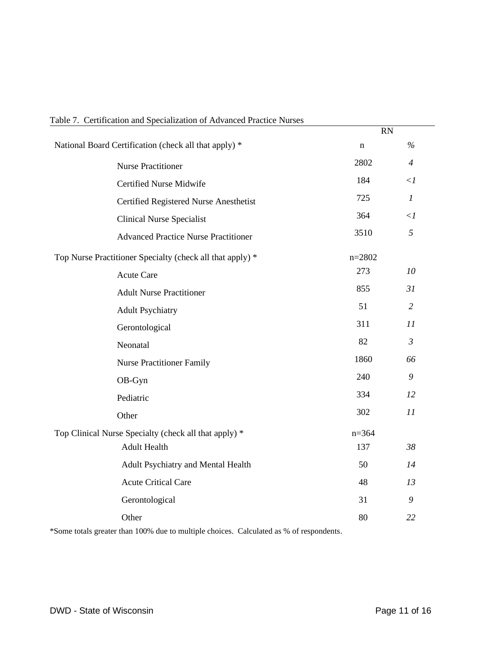| Communion and Decembention of Travanced Fractice Funded   |             | <b>RN</b>      |
|-----------------------------------------------------------|-------------|----------------|
| National Board Certification (check all that apply) *     | $\mathbf n$ | $\%$           |
| <b>Nurse Practitioner</b>                                 | 2802        | $\overline{4}$ |
| <b>Certified Nurse Midwife</b>                            | 184         | $\langle$ 1    |
| Certified Registered Nurse Anesthetist                    | 725         | $\mathfrak{1}$ |
| <b>Clinical Nurse Specialist</b>                          | 364         | $\langle$ 1    |
| <b>Advanced Practice Nurse Practitioner</b>               | 3510        | 5              |
| Top Nurse Practitioner Specialty (check all that apply) * | $n = 2802$  |                |
| <b>Acute Care</b>                                         | 273         | 10             |
| <b>Adult Nurse Practitioner</b>                           | 855         | 31             |
| <b>Adult Psychiatry</b>                                   | 51          | $\overline{2}$ |
| Gerontological                                            | 311         | 11             |
| Neonatal                                                  | 82          | $\mathfrak{Z}$ |
| <b>Nurse Practitioner Family</b>                          | 1860        | 66             |
| OB-Gyn                                                    | 240         | 9              |
| Pediatric                                                 | 334         | 12             |
| Other                                                     | 302         | 11             |
| Top Clinical Nurse Specialty (check all that apply) *     | $n = 364$   |                |
| <b>Adult Health</b>                                       | 137         | 38             |
| Adult Psychiatry and Mental Health                        | 50          | 14             |
| <b>Acute Critical Care</b>                                | 48          | 13             |
| Gerontological                                            | 31          | 9              |
| Other                                                     | 80          | 22             |

#### Table 7. Certification and Specialization of Advanced Practice Nurses

\*Some totals greater than 100% due to multiple choices. Calculated as % of respondents.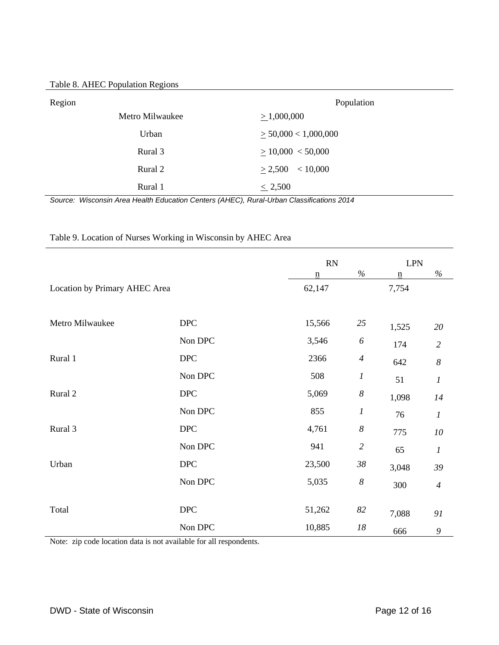| Region          | Population                |
|-----------------|---------------------------|
| Metro Milwaukee | $\geq 1,000,000$          |
| Urban           | $\geq$ 50,000 < 1,000,000 |
| Rural 3         | > 10,000 < 50,000         |
| Rural 2         | < 10,000<br>$\geq 2,500$  |
| Rural 1         | $\leq 2,500$              |

*Source: Wisconsin Area Health Education Centers (AHEC), Rural-Urban Classifications 2014*

|                               |                           | RN                       |                  | <b>LPN</b>                  |                  |
|-------------------------------|---------------------------|--------------------------|------------------|-----------------------------|------------------|
|                               |                           | $\underline{\mathbf{n}}$ | $\%$             | $\underline{\underline{n}}$ | $\%$             |
| Location by Primary AHEC Area |                           | 62,147                   |                  | 7,754                       |                  |
|                               |                           |                          |                  |                             |                  |
| Metro Milwaukee               | <b>DPC</b>                | 15,566                   | 25               | 1,525                       | 20               |
|                               | Non DPC                   | 3,546                    | 6                | 174                         | $\overline{2}$   |
| Rural 1                       | <b>DPC</b>                | 2366                     | $\overline{4}$   | 642                         | $\boldsymbol{8}$ |
|                               | Non DPC                   | 508                      | $\boldsymbol{l}$ | 51                          | $\boldsymbol{l}$ |
| Rural 2                       | $\ensuremath{\text{DPC}}$ | 5,069                    | $\boldsymbol{8}$ | 1,098                       | 14               |
|                               | Non DPC                   | 855                      | $\boldsymbol{l}$ | 76                          | $\boldsymbol{l}$ |
| Rural 3                       | <b>DPC</b>                | 4,761                    | $\boldsymbol{8}$ | 775                         | $10\,$           |
|                               | Non DPC                   | 941                      | $\overline{2}$   | 65                          | $\boldsymbol{l}$ |
| Urban                         | <b>DPC</b>                | 23,500                   | $38\,$           | 3,048                       | 39               |
|                               | Non DPC                   | 5,035                    | $\boldsymbol{8}$ | 300                         | $\overline{4}$   |
|                               |                           |                          |                  |                             |                  |
| Total                         | <b>DPC</b>                | 51,262                   | 82               | 7,088                       | 91               |
|                               | Non DPC                   | 10,885                   | $18\,$           | 666                         | $\boldsymbol{9}$ |

#### Table 9. Location of Nurses Working in Wisconsin by AHEC Area

Note: zip code location data is not available for all respondents.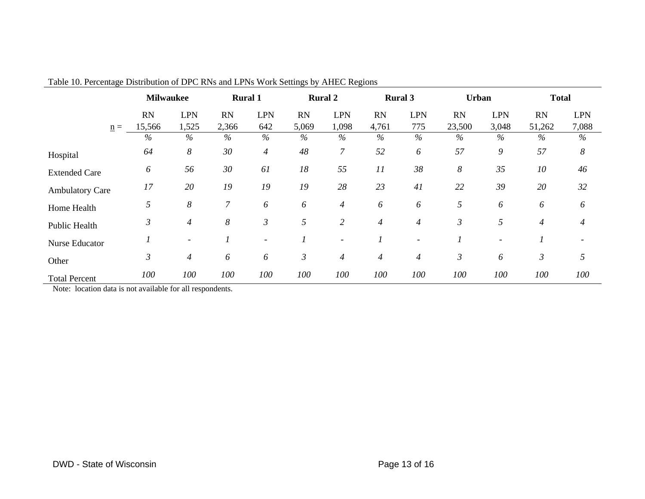|                        | <b>Milwaukee</b> |                          | <b>Rural 1</b>   |                          | <b>Rural 2</b> |                | <b>Rural 3</b> |                | Urban          |               | <b>Total</b>     |            |
|------------------------|------------------|--------------------------|------------------|--------------------------|----------------|----------------|----------------|----------------|----------------|---------------|------------------|------------|
|                        | RN               | <b>LPN</b>               | <b>RN</b>        | <b>LPN</b>               | <b>RN</b>      | <b>LPN</b>     | RN             | <b>LPN</b>     | <b>RN</b>      | <b>LPN</b>    | <b>RN</b>        | <b>LPN</b> |
| $n =$                  | 15,566           | 1,525                    | 2,366            | 642                      | 5,069          | 1,098          | 4,761          | 775            | 23,500         | 3,048         | 51,262           | 7,088      |
|                        | $\%$             | $\%$                     | %                | $\frac{0}{6}$            | %              | $\%$           | %              | $\%$           | $\%$           | $\frac{0}{0}$ | %                | $\%$       |
| Hospital               | 64               | $\boldsymbol{8}$         | 30               | $\overline{4}$           | 48             | $\overline{7}$ | 52             | 6              | 57             | 9             | 57               | $\delta$   |
| <b>Extended Care</b>   | 6                | 56                       | 30               | 61                       | 18             | 55             | 11             | 38             | 8              | 35            | 10               | 46         |
| <b>Ambulatory Care</b> | 17               | 20                       | 19               | 19                       | 19             | 28             | 23             | 41             | 22             | 39            | 20               | 32         |
| Home Health            | 5                | $\boldsymbol{\delta}$    | $\boldsymbol{7}$ | 6                        | 6              | $\overline{4}$ | 6              | 6              | 5              | 6             | 6                | 6          |
| <b>Public Health</b>   | 3                | $\overline{4}$           | $\boldsymbol{8}$ | $\mathfrak{Z}$           | 5              | $\overline{2}$ | $\overline{4}$ | $\overline{4}$ | 3              | 5             | $\boldsymbol{4}$ | 4          |
| Nurse Educator         |                  | $\overline{\phantom{a}}$ |                  | $\overline{\phantom{0}}$ |                |                |                |                |                |               |                  |            |
| Other                  | $\mathfrak{Z}$   | $\overline{4}$           | 6                | 6                        | $\mathfrak{Z}$ | $\overline{4}$ | $\overline{4}$ | $\overline{4}$ | $\mathfrak{Z}$ | 6             | $\mathfrak{Z}$   | 5          |
| <b>Total Percent</b>   | 100              | 100                      | 100              | 100                      | 100            | 100            | 100            | 100            | 100            | 100           | 100              | 100        |

Table 10. Percentage Distribution of DPC RNs and LPNs Work Settings by AHEC Regions

Note: location data is not available for all respondents.

 $\overline{\phantom{a}}$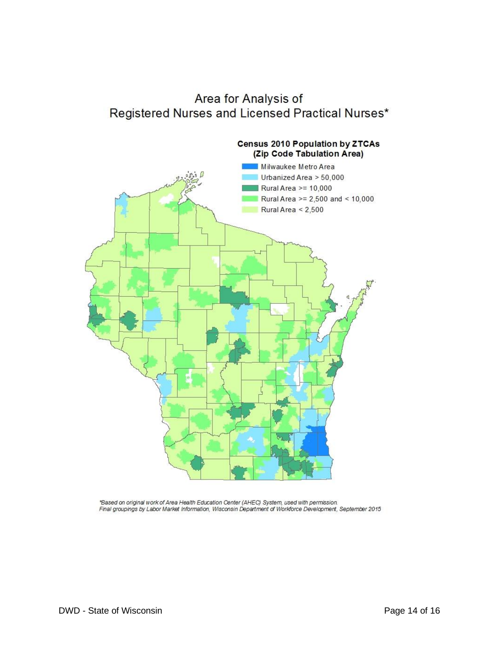## Area for Analysis of Registered Nurses and Licensed Practical Nurses\*



\*Based on original work of Area Health Education Center (AHEC) System, used with permission.<br>Final groupings by Labor Market Information, Wisconsin Department of Workforce Development, September 2015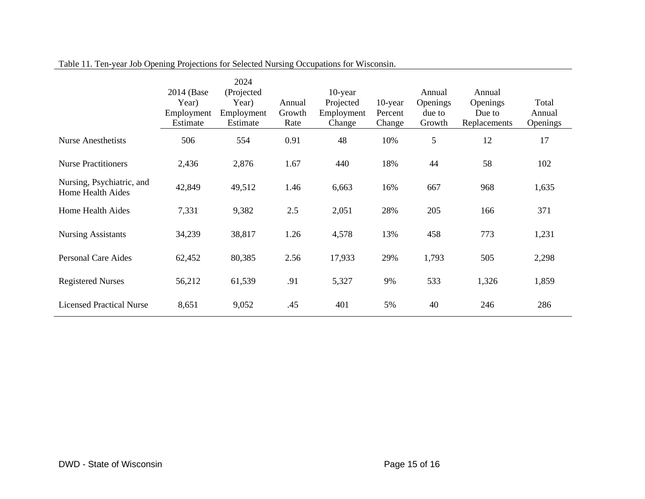|                                                | 2014 (Base)<br>Year)<br>Employment<br>Estimate | 2024<br>(Projected<br>Year)<br>Employment<br>Estimate | Annual<br>Growth<br>Rate | $10$ -year<br>Projected<br>Employment<br>Change | $10$ -year<br>Percent<br>Change | Annual<br>Openings<br>due to<br>Growth | Annual<br>Openings<br>Due to<br>Replacements | Total<br>Annual<br>Openings |
|------------------------------------------------|------------------------------------------------|-------------------------------------------------------|--------------------------|-------------------------------------------------|---------------------------------|----------------------------------------|----------------------------------------------|-----------------------------|
| <b>Nurse Anesthetists</b>                      | 506                                            | 554                                                   | 0.91                     | 48                                              | 10%                             | 5                                      | 12                                           | 17                          |
| <b>Nurse Practitioners</b>                     | 2,436                                          | 2,876                                                 | 1.67                     | 440                                             | 18%                             | 44                                     | 58                                           | 102                         |
| Nursing, Psychiatric, and<br>Home Health Aides | 42,849                                         | 49,512                                                | 1.46                     | 6,663                                           | 16%                             | 667                                    | 968                                          | 1,635                       |
| Home Health Aides                              | 7,331                                          | 9,382                                                 | 2.5                      | 2,051                                           | 28%                             | 205                                    | 166                                          | 371                         |
| <b>Nursing Assistants</b>                      | 34,239                                         | 38,817                                                | 1.26                     | 4,578                                           | 13%                             | 458                                    | 773                                          | 1,231                       |
| <b>Personal Care Aides</b>                     | 62,452                                         | 80,385                                                | 2.56                     | 17,933                                          | 29%                             | 1,793                                  | 505                                          | 2,298                       |
| <b>Registered Nurses</b>                       | 56,212                                         | 61,539                                                | .91                      | 5,327                                           | 9%                              | 533                                    | 1,326                                        | 1,859                       |
| <b>Licensed Practical Nurse</b>                | 8,651                                          | 9,052                                                 | .45                      | 401                                             | 5%                              | 40                                     | 246                                          | 286                         |

Table 11. Ten-year Job Opening Projections for Selected Nursing Occupations for Wisconsin.